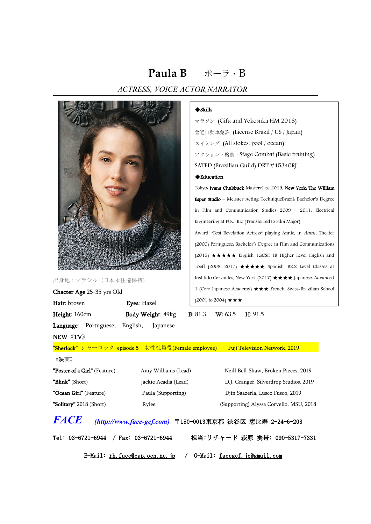# **Paula B** ポーラ・B ACTRESS, VOICE ACTOR,NARRATOR



出身地:ブラジル(日本永住権保持)

Chacter Age 25-35 yrs Old

Hair: brown Eyes: Hazel Height: 160cm Body Weight: 49kg B: 81.3 W: 63.5 H: 91.5

Language: Portuguese, English, Japanese

#### **◆Skills**

マラソン (Gifu and Yokosuka HM 2018) 普通自動車免許 (License Brazil / US / Japan) スイミング (All stokes, pool / ocean) アクション・格闘:Stage Combat (Basic training) SATED (Brazilian Guild) DRT #45340RJ

### Education

Tokyo: Ivana Chubbuck Masterclass 2019, New York: The William Esper Studio – Meisner Acting TechniqueBrazil: Bachelor's Degree in Film and Communication Studies 2009 - 2011: Electrical Engineering at PUC-Rio (Transferred to Film Major) Award: "Best Revelation Actress" playing Annie, in Annie, Theater (2000) Portuguese: Bachelor's Degree in Film and Communications (2015)  $\star \star \star \star$  English: IGCSE, IB Higher Level English and Toefl (2008, 2017)  $\star \star \star \star \star$  Spanish: B2.2 Level Classes at Instituto Cervantes, New York (2017)  $\star \star \star$  Japanese: Advanced 1 (Coto Japanese Academy) ★★★ French: Swiss-Brazilian School  $(2001 \text{ to } 2004) \star \star \star$ 

NEW《TV》

"Sherlock" シャーロック episode 5 女性社員役(Female employee) Fuji Television Network, 2019

#### 《映画》

| <b>"Poster of a Girl"</b> (Feature) | Amy Williams (Lead)  | Neill Bell-Shaw, Broken Pieces, 2019    |
|-------------------------------------|----------------------|-----------------------------------------|
| <b>"Blink"</b> (Short)              | Jackie Acadia (Lead) | D.J. Granger, Silverdrop Studios, 2019  |
| <b>"Ocean Girl"</b> (Feature)       | Paula (Supporting)   | Djin Sgazerla, Lusco Fusco, 2019        |
| "Solitary" 2018 (Short)             | Rylee                | (Supporting) Alyssa Corvello, MSU, 2018 |

### **FACE (http://www.face-gcf.com)** 〒150-0013東京都 渋谷区 恵比寿 2-24-6-203

Tel: 03-6721-6944 / Fax: 03-6721-6944 担当:リチャード 萩原 携帯: 090-5317-7331

E-Mail: [rh.face@cap.ocn.ne.jp](mailto:rh.face@cap.ocn.ne.jp) / G-Mail: [facegcf.jp@gmail.com](mailto:facegcf.jp@gmail.com)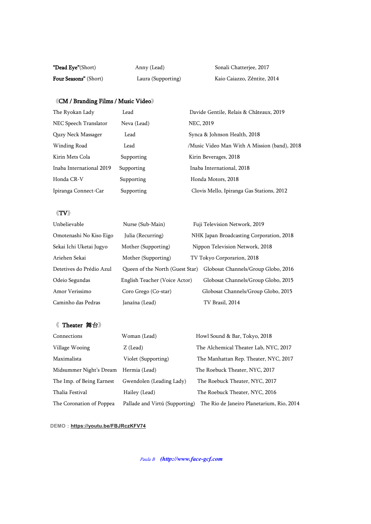| <b>"Dead Eye"</b> (Short)    | Anny (Lead)        | Sonali Chatterjee, 2017     |
|------------------------------|--------------------|-----------------------------|
| <b>Four Seasons"</b> (Short) | Laura (Supporting) | Kaio Caiazzo, Zêntite, 2014 |

### $\langle\!\langle\mathbf{CM}\,/\,\mathbf{Branding}\,\mathbf{films}\,/\,\mathbf{Music}\,\mathbf{Video}\rangle\!\rangle$

| The Ryokan Lady          | Lead        | Davide Gentile, Relais & Châteaux, 2019      |
|--------------------------|-------------|----------------------------------------------|
| NEC Speech Translator    | Neva (Lead) | NEC, 2019                                    |
| Quzy Neck Massager       | Lead        | Synca & Johnson Health, 2018                 |
| Winding Road             | Lead        | /Music Video Man With A Mission (band), 2018 |
| Kirin Mets Cola          | Supporting  | Kirin Beverages, 2018                        |
| Inaba International 2019 | Supporting  | Inaba International, 2018                    |
| Honda CR-V               | Supporting  | Honda Motors, 2018                           |
| Ipiranga Connect-Car     | Supporting  | Clovis Mello, Ipiranga Gas Stations, 2012    |

### $\langle\!\langle {\rm \bf TV}\rangle\!\rangle$

| Unbelievable             | Nurse (Sub-Main)                | Fuji Television Network, 2019            |
|--------------------------|---------------------------------|------------------------------------------|
| Omotenashi No Kiso Eigo  | Julia (Recurring)               | NHK Japan Broadcasting Corporation, 2018 |
| Sekai Ichi Uketai Jugyo  | Mother (Supporting)             | Nippon Television Network, 2018          |
| Ariehen Sekai            | Mother (Supporting)             | TV Tokyo Corporarion, 2018               |
| Detetives do Prédio Azul | Queen of the North (Guest Star) | Globosat Channels/Group Globo, 2016      |
| Odeio Segundas           | English Teacher (Voice Actor)   | Globosat Channels/Group Globo, 2015      |
| Amor Verissimo           | Coro Grego (Co-star)            | Globosat Channels/Group Globo, 2015      |
| Caminho das Pedras       | Janaína (Lead)                  | TV Brasil, 2014                          |

## 《 Theater 舞台》

| Connections                           | Woman (Lead)                   | Howl Sound & Bar, Tokyo, 2018             |
|---------------------------------------|--------------------------------|-------------------------------------------|
| Village Wooing                        | Z (Lead)                       | The Alchemical Theater Lab, NYC, 2017     |
| Maximalista                           | Violet (Supporting)            | The Manhattan Rep. Theater, NYC, 2017     |
| Midsummer Night's Dream Hermia (Lead) |                                | The Roebuck Theater, NYC, 2017            |
| The Imp. of Being Earnest             | Gwendolen (Leading Lady)       | The Roebuck Theater, NYC, 2017            |
| Thalia Festival                       | Hailey (Lead)                  | The Roebuck Theater, NYC, 2016            |
| The Coronation of Poppea              | Pallade and Virtú (Supporting) | The Rio de Janeiro Planetarium, Rio, 2014 |

### **DEMO**:**https://youtu.be/FBJRczKFV74**

Paula <sup>B</sup> **(http://www.face-gcf.com**